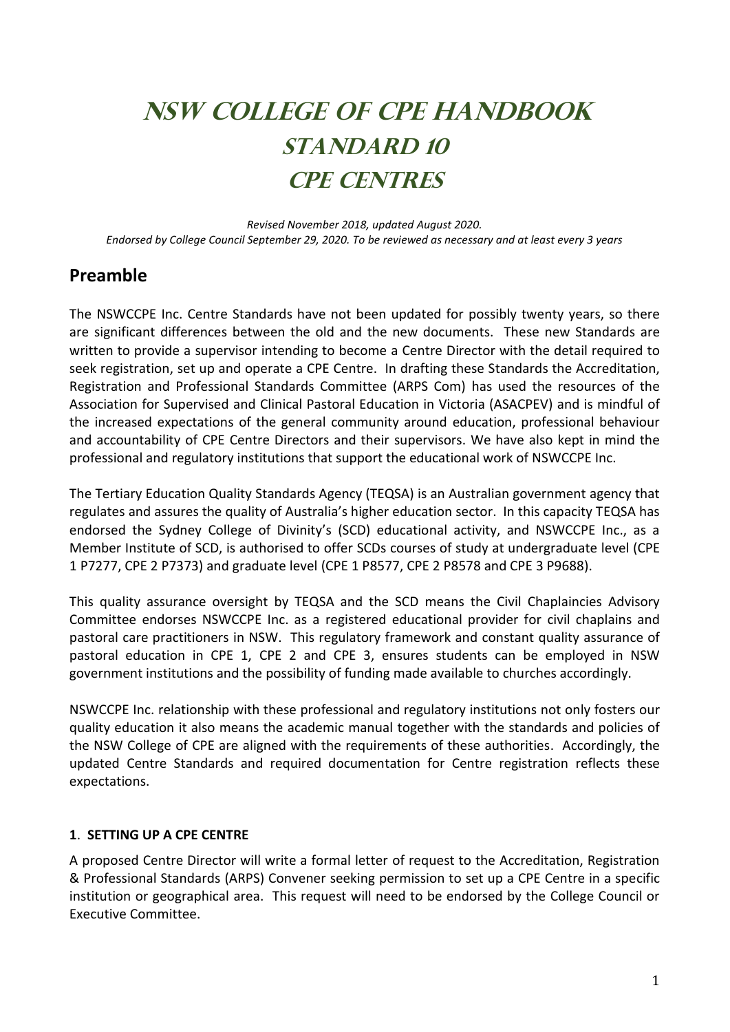# **NSW COLLEGE OF CPE HANDBOOK STANDARD 10 CPE CENTRES**

*Revised November 2018, updated August 2020. Endorsed by College Council September 29, 2020. To be reviewed as necessary and at least every 3 years*

# **Preamble**

The NSWCCPE Inc. Centre Standards have not been updated for possibly twenty years, so there are significant differences between the old and the new documents. These new Standards are written to provide a supervisor intending to become a Centre Director with the detail required to seek registration, set up and operate a CPE Centre. In drafting these Standards the Accreditation, Registration and Professional Standards Committee (ARPS Com) has used the resources of the Association for Supervised and Clinical Pastoral Education in Victoria (ASACPEV) and is mindful of the increased expectations of the general community around education, professional behaviour and accountability of CPE Centre Directors and their supervisors. We have also kept in mind the professional and regulatory institutions that support the educational work of NSWCCPE Inc.

The Tertiary Education Quality Standards Agency (TEQSA) is an Australian government agency that regulates and assures the quality of Australia's higher education sector. In this capacity TEQSA has endorsed the Sydney College of Divinity's (SCD) educational activity, and NSWCCPE Inc., as a Member Institute of SCD, is authorised to offer SCDs courses of study at undergraduate level (CPE 1 P7277, CPE 2 P7373) and graduate level (CPE 1 P8577, CPE 2 P8578 and CPE 3 P9688).

This quality assurance oversight by TEQSA and the SCD means the Civil Chaplaincies Advisory Committee endorses NSWCCPE Inc. as a registered educational provider for civil chaplains and pastoral care practitioners in NSW. This regulatory framework and constant quality assurance of pastoral education in CPE 1, CPE 2 and CPE 3, ensures students can be employed in NSW government institutions and the possibility of funding made available to churches accordingly.

NSWCCPE Inc. relationship with these professional and regulatory institutions not only fosters our quality education it also means the academic manual together with the standards and policies of the NSW College of CPE are aligned with the requirements of these authorities. Accordingly, the updated Centre Standards and required documentation for Centre registration reflects these expectations.

# **1**. **SETTING UP A CPE CENTRE**

A proposed Centre Director will write a formal letter of request to the Accreditation, Registration & Professional Standards (ARPS) Convener seeking permission to set up a CPE Centre in a specific institution or geographical area. This request will need to be endorsed by the College Council or Executive Committee.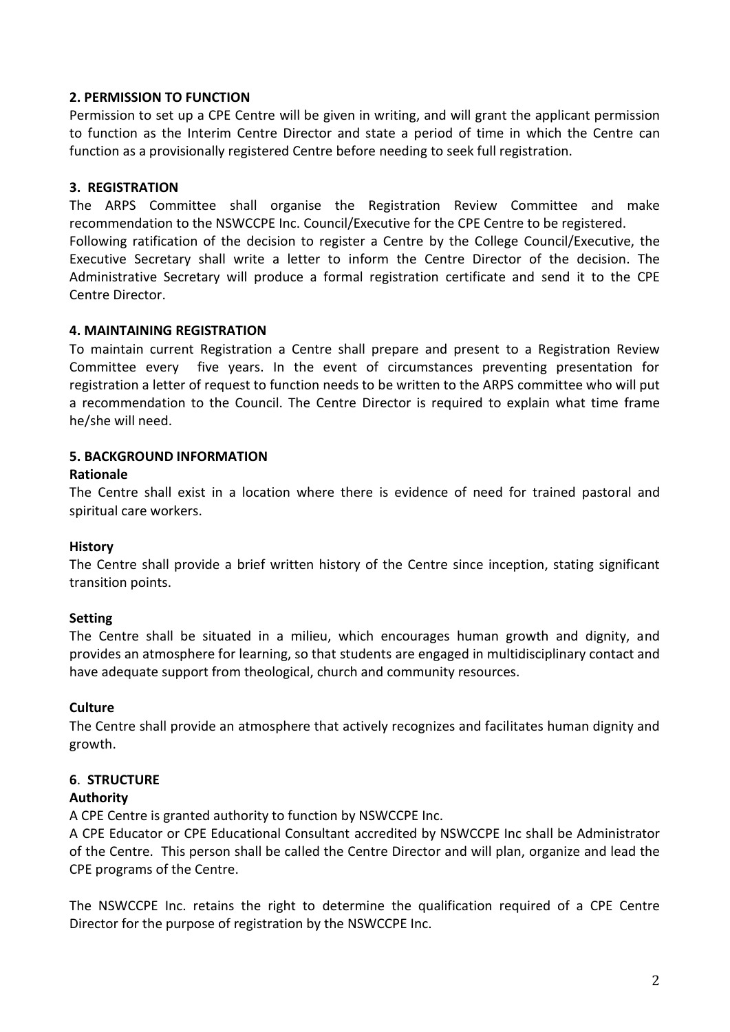# **2. PERMISSION TO FUNCTION**

Permission to set up a CPE Centre will be given in writing, and will grant the applicant permission to function as the Interim Centre Director and state a period of time in which the Centre can function as a provisionally registered Centre before needing to seek full registration.

### **3. REGISTRATION**

The ARPS Committee shall organise the Registration Review Committee and make recommendation to the NSWCCPE Inc. Council/Executive for the CPE Centre to be registered. Following ratification of the decision to register a Centre by the College Council/Executive, the Executive Secretary shall write a letter to inform the Centre Director of the decision. The Administrative Secretary will produce a formal registration certificate and send it to the CPE Centre Director.

### **4. MAINTAINING REGISTRATION**

To maintain current Registration a Centre shall prepare and present to a Registration Review Committee every five years. In the event of circumstances preventing presentation for registration a letter of request to function needs to be written to the ARPS committee who will put a recommendation to the Council. The Centre Director is required to explain what time frame he/she will need.

### **5. BACKGROUND INFORMATION**

### **Rationale**

The Centre shall exist in a location where there is evidence of need for trained pastoral and spiritual care workers.

### **History**

The Centre shall provide a brief written history of the Centre since inception, stating significant transition points.

### **Setting**

The Centre shall be situated in a milieu, which encourages human growth and dignity, and provides an atmosphere for learning, so that students are engaged in multidisciplinary contact and have adequate support from theological, church and community resources.

### **Culture**

The Centre shall provide an atmosphere that actively recognizes and facilitates human dignity and growth.

# **6**. **STRUCTURE**

### **Authority**

A CPE Centre is granted authority to function by NSWCCPE Inc.

A CPE Educator or CPE Educational Consultant accredited by NSWCCPE Inc shall be Administrator of the Centre. This person shall be called the Centre Director and will plan, organize and lead the CPE programs of the Centre.

The NSWCCPE Inc. retains the right to determine the qualification required of a CPE Centre Director for the purpose of registration by the NSWCCPE Inc.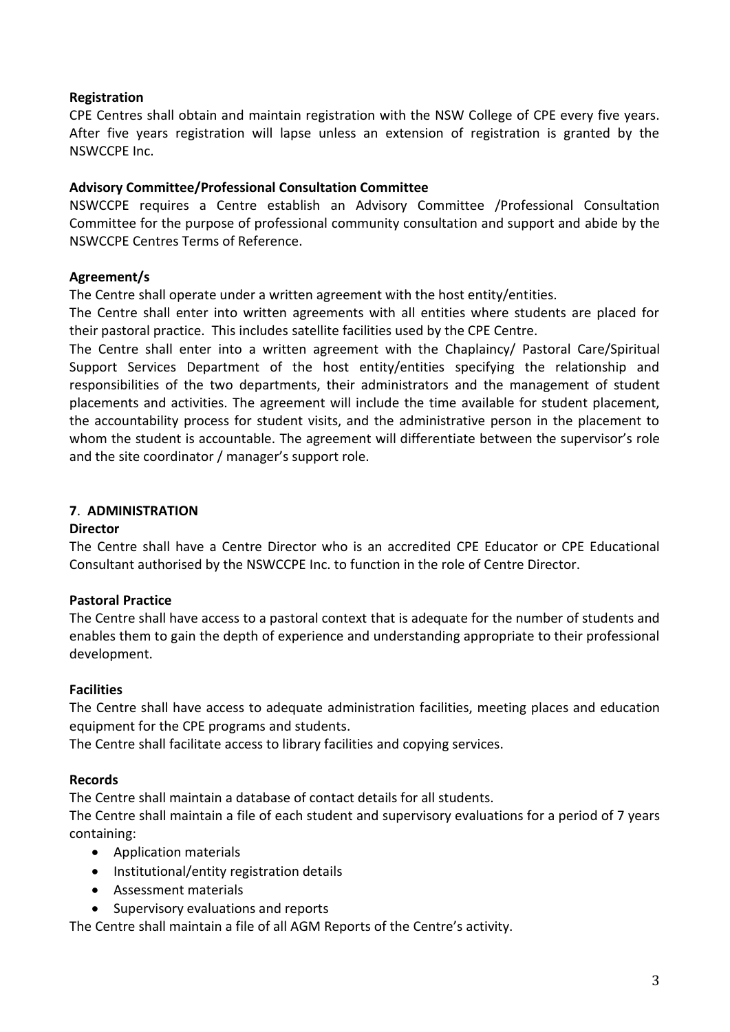# **Registration**

CPE Centres shall obtain and maintain registration with the NSW College of CPE every five years. After five years registration will lapse unless an extension of registration is granted by the NSWCCPE Inc.

### **Advisory Committee/Professional Consultation Committee**

NSWCCPE requires a Centre establish an Advisory Committee /Professional Consultation Committee for the purpose of professional community consultation and support and abide by the NSWCCPE Centres Terms of Reference.

# **Agreement/s**

The Centre shall operate under a written agreement with the host entity/entities.

The Centre shall enter into written agreements with all entities where students are placed for their pastoral practice. This includes satellite facilities used by the CPE Centre.

The Centre shall enter into a written agreement with the Chaplaincy/ Pastoral Care/Spiritual Support Services Department of the host entity/entities specifying the relationship and responsibilities of the two departments, their administrators and the management of student placements and activities. The agreement will include the time available for student placement, the accountability process for student visits, and the administrative person in the placement to whom the student is accountable. The agreement will differentiate between the supervisor's role and the site coordinator / manager's support role.

# **7**. **ADMINISTRATION**

### **Director**

The Centre shall have a Centre Director who is an accredited CPE Educator or CPE Educational Consultant authorised by the NSWCCPE Inc. to function in the role of Centre Director.

# **Pastoral Practice**

The Centre shall have access to a pastoral context that is adequate for the number of students and enables them to gain the depth of experience and understanding appropriate to their professional development.

### **Facilities**

The Centre shall have access to adequate administration facilities, meeting places and education equipment for the CPE programs and students.

The Centre shall facilitate access to library facilities and copying services.

### **Records**

The Centre shall maintain a database of contact details for all students.

The Centre shall maintain a file of each student and supervisory evaluations for a period of 7 years containing:

- Application materials
- Institutional/entity registration details
- Assessment materials
- Supervisory evaluations and reports

The Centre shall maintain a file of all AGM Reports of the Centre's activity.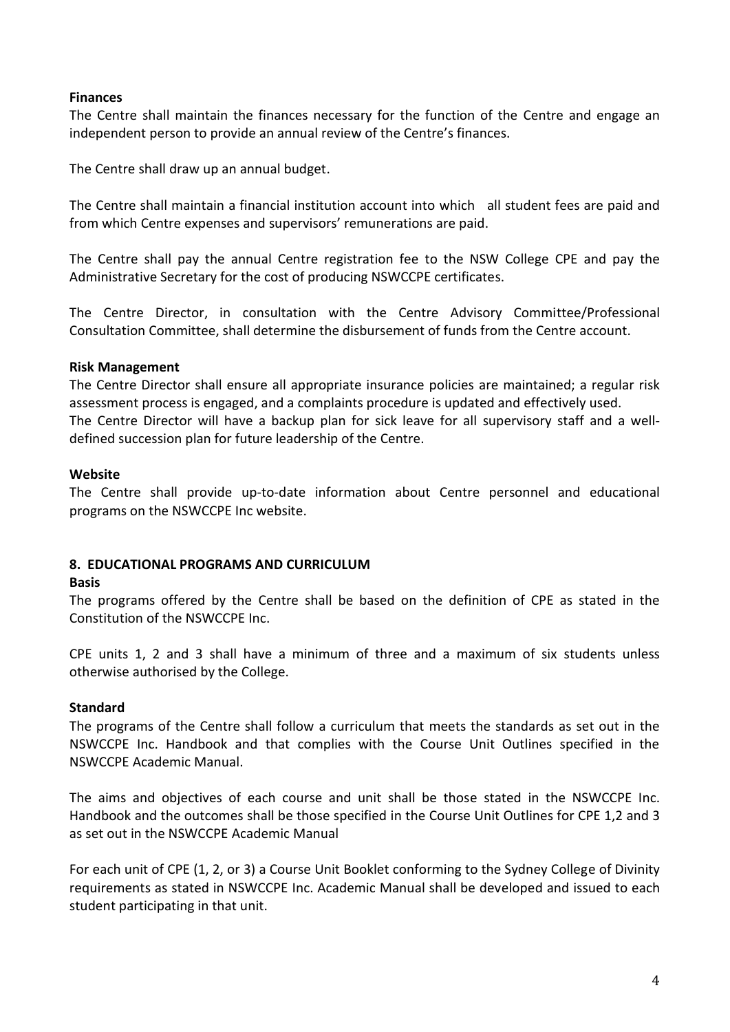### **Finances**

The Centre shall maintain the finances necessary for the function of the Centre and engage an independent person to provide an annual review of the Centre's finances.

The Centre shall draw up an annual budget.

The Centre shall maintain a financial institution account into which all student fees are paid and from which Centre expenses and supervisors' remunerations are paid.

The Centre shall pay the annual Centre registration fee to the NSW College CPE and pay the Administrative Secretary for the cost of producing NSWCCPE certificates.

The Centre Director, in consultation with the Centre Advisory Committee/Professional Consultation Committee, shall determine the disbursement of funds from the Centre account.

### **Risk Management**

The Centre Director shall ensure all appropriate insurance policies are maintained; a regular risk assessment process is engaged, and a complaints procedure is updated and effectively used. The Centre Director will have a backup plan for sick leave for all supervisory staff and a welldefined succession plan for future leadership of the Centre.

### **Website**

The Centre shall provide up-to-date information about Centre personnel and educational programs on the NSWCCPE Inc website.

### **8. EDUCATIONAL PROGRAMS AND CURRICULUM**

### **Basis**

The programs offered by the Centre shall be based on the definition of CPE as stated in the Constitution of the NSWCCPE Inc.

CPE units 1, 2 and 3 shall have a minimum of three and a maximum of six students unless otherwise authorised by the College.

### **Standard**

The programs of the Centre shall follow a curriculum that meets the standards as set out in the NSWCCPE Inc. Handbook and that complies with the Course Unit Outlines specified in the NSWCCPE Academic Manual.

The aims and objectives of each course and unit shall be those stated in the NSWCCPE Inc. Handbook and the outcomes shall be those specified in the Course Unit Outlines for CPE 1,2 and 3 as set out in the NSWCCPE Academic Manual

For each unit of CPE (1, 2, or 3) a Course Unit Booklet conforming to the Sydney College of Divinity requirements as stated in NSWCCPE Inc. Academic Manual shall be developed and issued to each student participating in that unit.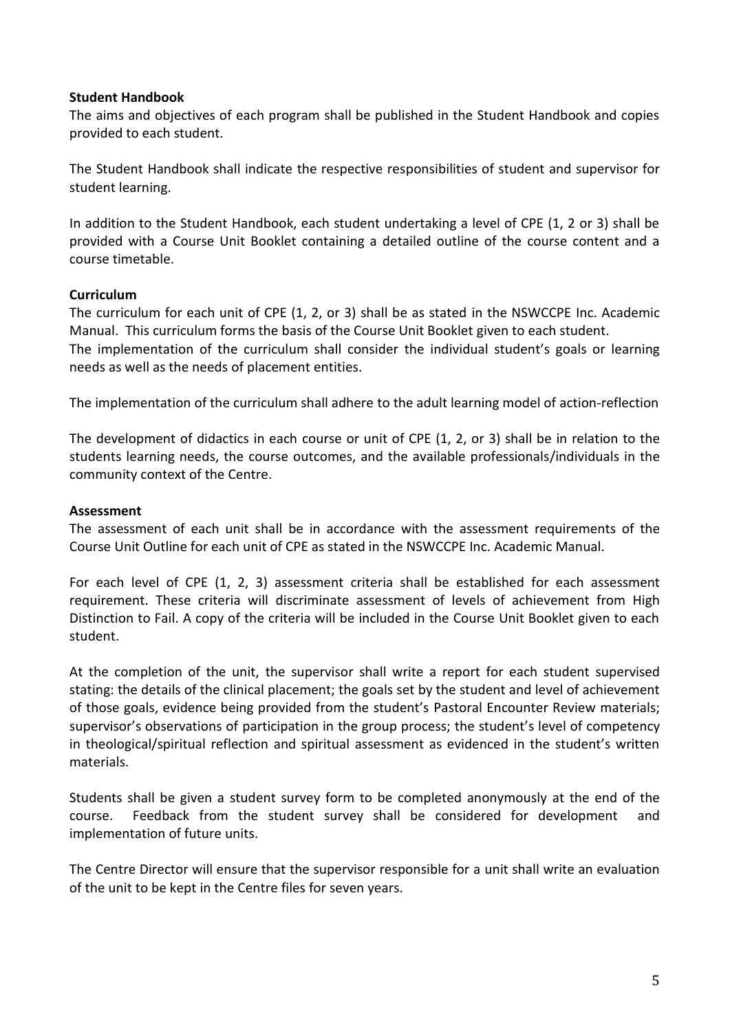### **Student Handbook**

The aims and objectives of each program shall be published in the Student Handbook and copies provided to each student.

The Student Handbook shall indicate the respective responsibilities of student and supervisor for student learning.

In addition to the Student Handbook, each student undertaking a level of CPE (1, 2 or 3) shall be provided with a Course Unit Booklet containing a detailed outline of the course content and a course timetable.

### **Curriculum**

The curriculum for each unit of CPE (1, 2, or 3) shall be as stated in the NSWCCPE Inc. Academic Manual. This curriculum forms the basis of the Course Unit Booklet given to each student. The implementation of the curriculum shall consider the individual student's goals or learning needs as well as the needs of placement entities.

The implementation of the curriculum shall adhere to the adult learning model of action-reflection

The development of didactics in each course or unit of CPE (1, 2, or 3) shall be in relation to the students learning needs, the course outcomes, and the available professionals/individuals in the community context of the Centre.

### **Assessment**

The assessment of each unit shall be in accordance with the assessment requirements of the Course Unit Outline for each unit of CPE as stated in the NSWCCPE Inc. Academic Manual.

For each level of CPE (1, 2, 3) assessment criteria shall be established for each assessment requirement. These criteria will discriminate assessment of levels of achievement from High Distinction to Fail. A copy of the criteria will be included in the Course Unit Booklet given to each student.

At the completion of the unit, the supervisor shall write a report for each student supervised stating: the details of the clinical placement; the goals set by the student and level of achievement of those goals, evidence being provided from the student's Pastoral Encounter Review materials; supervisor's observations of participation in the group process; the student's level of competency in theological/spiritual reflection and spiritual assessment as evidenced in the student's written materials.

Students shall be given a student survey form to be completed anonymously at the end of the course. Feedback from the student survey shall be considered for development and implementation of future units.

The Centre Director will ensure that the supervisor responsible for a unit shall write an evaluation of the unit to be kept in the Centre files for seven years.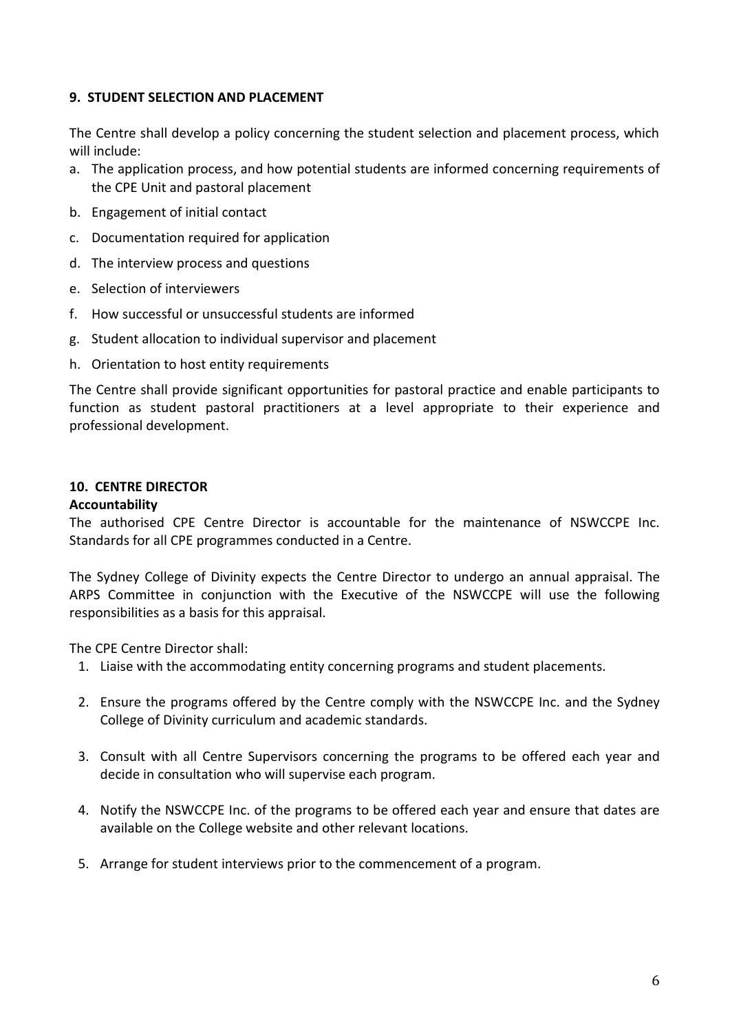# **9. STUDENT SELECTION AND PLACEMENT**

The Centre shall develop a policy concerning the student selection and placement process, which will include:

- a. The application process, and how potential students are informed concerning requirements of the CPE Unit and pastoral placement
- b. Engagement of initial contact
- c. Documentation required for application
- d. The interview process and questions
- e. Selection of interviewers
- f. How successful or unsuccessful students are informed
- g. Student allocation to individual supervisor and placement
- h. Orientation to host entity requirements

The Centre shall provide significant opportunities for pastoral practice and enable participants to function as student pastoral practitioners at a level appropriate to their experience and professional development.

# **10. CENTRE DIRECTOR**

### **Accountability**

The authorised CPE Centre Director is accountable for the maintenance of NSWCCPE Inc. Standards for all CPE programmes conducted in a Centre.

The Sydney College of Divinity expects the Centre Director to undergo an annual appraisal. The ARPS Committee in conjunction with the Executive of the NSWCCPE will use the following responsibilities as a basis for this appraisal.

The CPE Centre Director shall:

- 1. Liaise with the accommodating entity concerning programs and student placements.
- 2. Ensure the programs offered by the Centre comply with the NSWCCPE Inc. and the Sydney College of Divinity curriculum and academic standards.
- 3. Consult with all Centre Supervisors concerning the programs to be offered each year and decide in consultation who will supervise each program.
- 4. Notify the NSWCCPE Inc. of the programs to be offered each year and ensure that dates are available on the College website and other relevant locations.
- 5. Arrange for student interviews prior to the commencement of a program.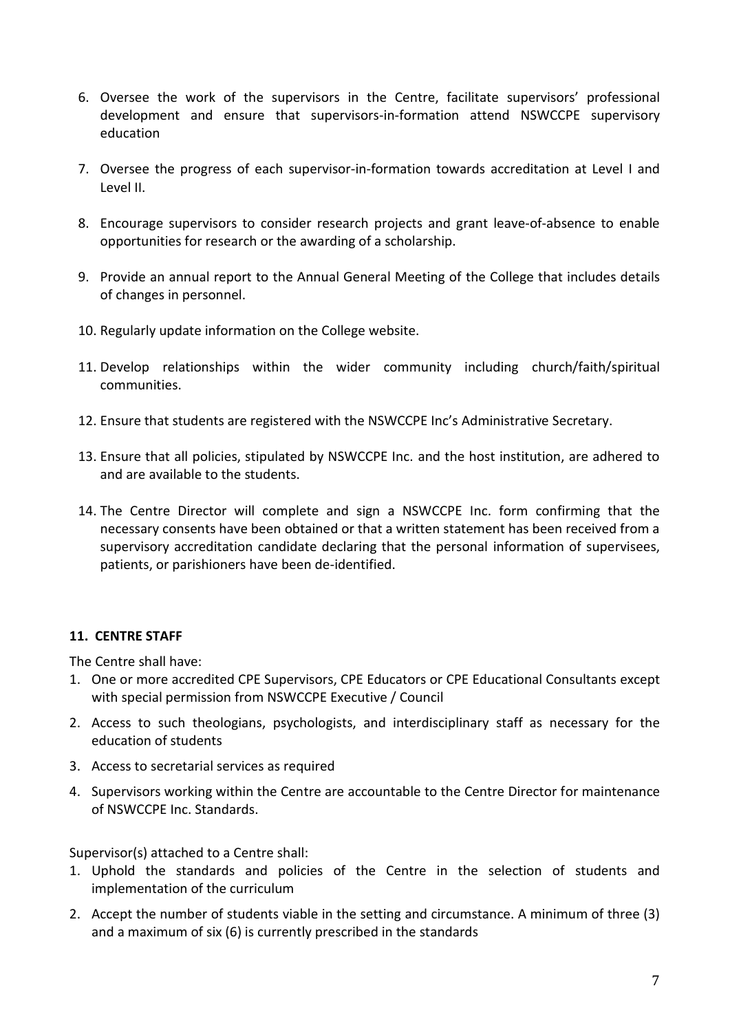- 6. Oversee the work of the supervisors in the Centre, facilitate supervisors' professional development and ensure that supervisors-in-formation attend NSWCCPE supervisory education
- 7. Oversee the progress of each supervisor-in-formation towards accreditation at Level I and Level II.
- 8. Encourage supervisors to consider research projects and grant leave-of-absence to enable opportunities for research or the awarding of a scholarship.
- 9. Provide an annual report to the Annual General Meeting of the College that includes details of changes in personnel.
- 10. Regularly update information on the College website.
- 11. Develop relationships within the wider community including church/faith/spiritual communities.
- 12. Ensure that students are registered with the NSWCCPE Inc's Administrative Secretary.
- 13. Ensure that all policies, stipulated by NSWCCPE Inc. and the host institution, are adhered to and are available to the students.
- 14. The Centre Director will complete and sign a NSWCCPE Inc. form confirming that the necessary consents have been obtained or that a written statement has been received from a supervisory accreditation candidate declaring that the personal information of supervisees, patients, or parishioners have been de-identified.

# **11. CENTRE STAFF**

The Centre shall have:

- 1. One or more accredited CPE Supervisors, CPE Educators or CPE Educational Consultants except with special permission from NSWCCPE Executive / Council
- 2. Access to such theologians, psychologists, and interdisciplinary staff as necessary for the education of students
- 3. Access to secretarial services as required
- 4. Supervisors working within the Centre are accountable to the Centre Director for maintenance of NSWCCPE Inc. Standards.

Supervisor(s) attached to a Centre shall:

- 1. Uphold the standards and policies of the Centre in the selection of students and implementation of the curriculum
- 2. Accept the number of students viable in the setting and circumstance. A minimum of three (3) and a maximum of six (6) is currently prescribed in the standards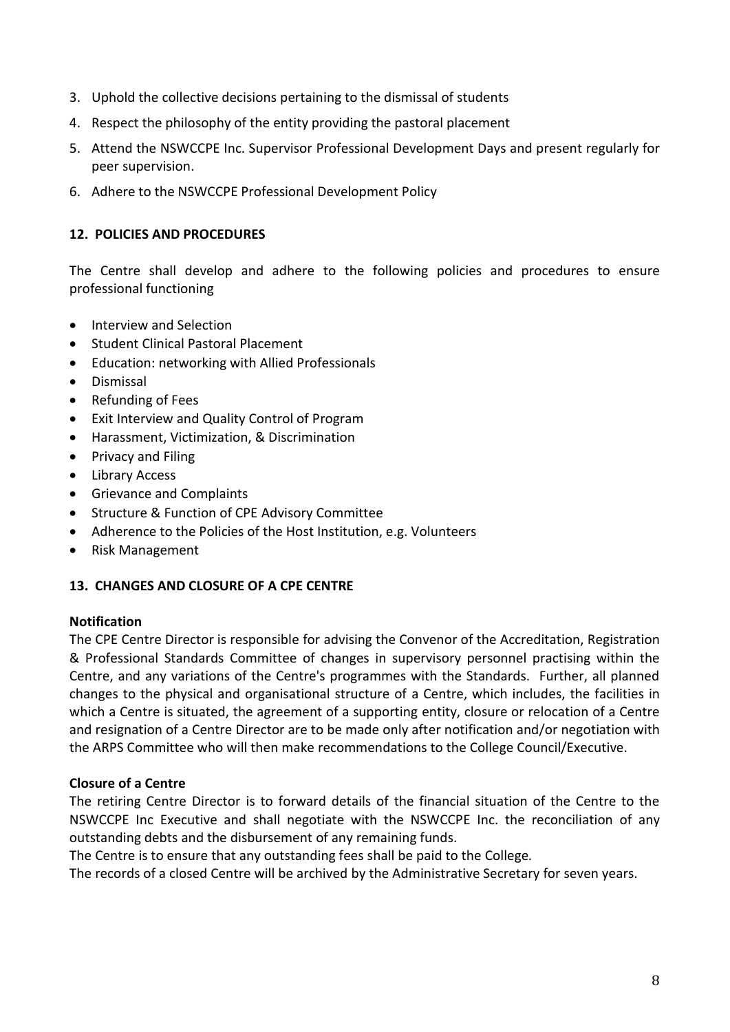- 3. Uphold the collective decisions pertaining to the dismissal of students
- 4. Respect the philosophy of the entity providing the pastoral placement
- 5. Attend the NSWCCPE Inc. Supervisor Professional Development Days and present regularly for peer supervision.
- 6. Adhere to the NSWCCPE Professional Development Policy

# **12. POLICIES AND PROCEDURES**

The Centre shall develop and adhere to the following policies and procedures to ensure professional functioning

- Interview and Selection
- Student Clinical Pastoral Placement
- Education: networking with Allied Professionals
- Dismissal
- Refunding of Fees
- Exit Interview and Quality Control of Program
- Harassment, Victimization, & Discrimination
- Privacy and Filing
- Library Access
- Grievance and Complaints
- Structure & Function of CPE Advisory Committee
- Adherence to the Policies of the Host Institution, e.g. Volunteers
- Risk Management

### **13. CHANGES AND CLOSURE OF A CPE CENTRE**

### **Notification**

The CPE Centre Director is responsible for advising the Convenor of the Accreditation, Registration & Professional Standards Committee of changes in supervisory personnel practising within the Centre, and any variations of the Centre's programmes with the Standards. Further, all planned changes to the physical and organisational structure of a Centre, which includes, the facilities in which a Centre is situated, the agreement of a supporting entity, closure or relocation of a Centre and resignation of a Centre Director are to be made only after notification and/or negotiation with the ARPS Committee who will then make recommendations to the College Council/Executive.

### **Closure of a Centre**

The retiring Centre Director is to forward details of the financial situation of the Centre to the NSWCCPE Inc Executive and shall negotiate with the NSWCCPE Inc. the reconciliation of any outstanding debts and the disbursement of any remaining funds.

The Centre is to ensure that any outstanding fees shall be paid to the College*.*

The records of a closed Centre will be archived by the Administrative Secretary for seven years.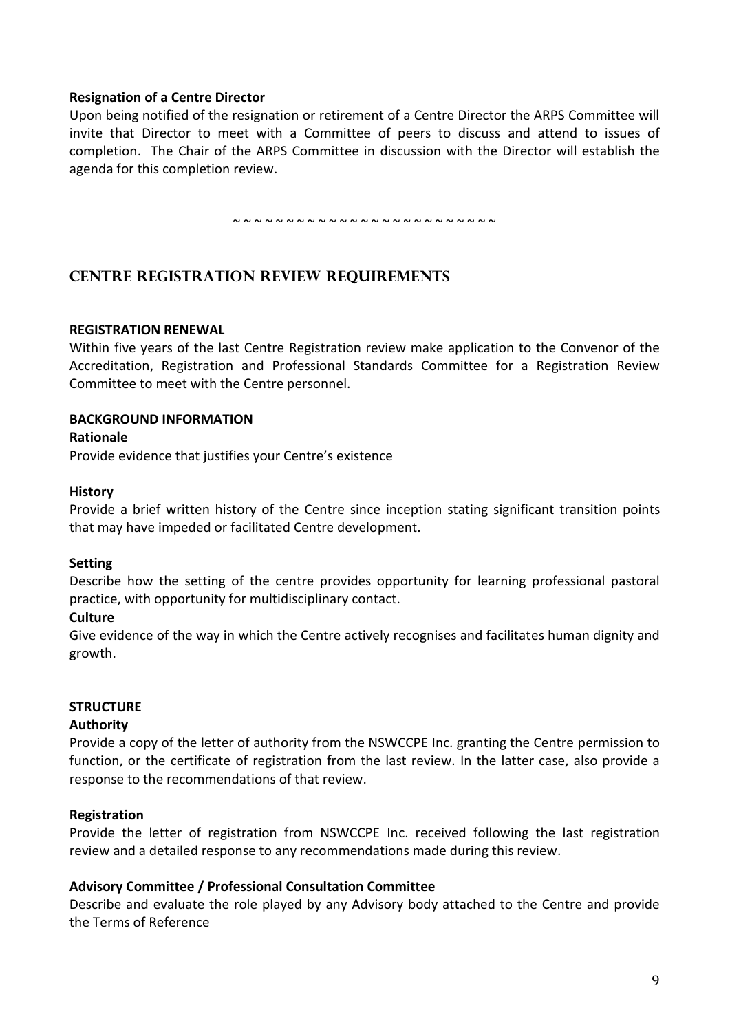### **Resignation of a Centre Director**

Upon being notified of the resignation or retirement of a Centre Director the ARPS Committee will invite that Director to meet with a Committee of peers to discuss and attend to issues of completion. The Chair of the ARPS Committee in discussion with the Director will establish the agenda for this completion review.

~ ~ ~ ~ ~ ~ ~ ~ ~ ~ ~ ~ ~ ~ ~ ~ ~ ~ ~ ~ ~ ~ ~ ~ ~

# **CENTRE REGISTRATION REVIEW REQUIREMENTS**

### **REGISTRATION RENEWAL**

Within five years of the last Centre Registration review make application to the Convenor of the Accreditation, Registration and Professional Standards Committee for a Registration Review Committee to meet with the Centre personnel.

### **BACKGROUND INFORMATION**

### **Rationale**

Provide evidence that justifies your Centre's existence

### **History**

Provide a brief written history of the Centre since inception stating significant transition points that may have impeded or facilitated Centre development.

### **Setting**

Describe how the setting of the centre provides opportunity for learning professional pastoral practice, with opportunity for multidisciplinary contact.

### **Culture**

Give evidence of the way in which the Centre actively recognises and facilitates human dignity and growth.

### **STRUCTURE**

### **Authority**

Provide a copy of the letter of authority from the NSWCCPE Inc. granting the Centre permission to function, or the certificate of registration from the last review. In the latter case, also provide a response to the recommendations of that review.

### **Registration**

Provide the letter of registration from NSWCCPE Inc. received following the last registration review and a detailed response to any recommendations made during this review.

### **Advisory Committee / Professional Consultation Committee**

Describe and evaluate the role played by any Advisory body attached to the Centre and provide the Terms of Reference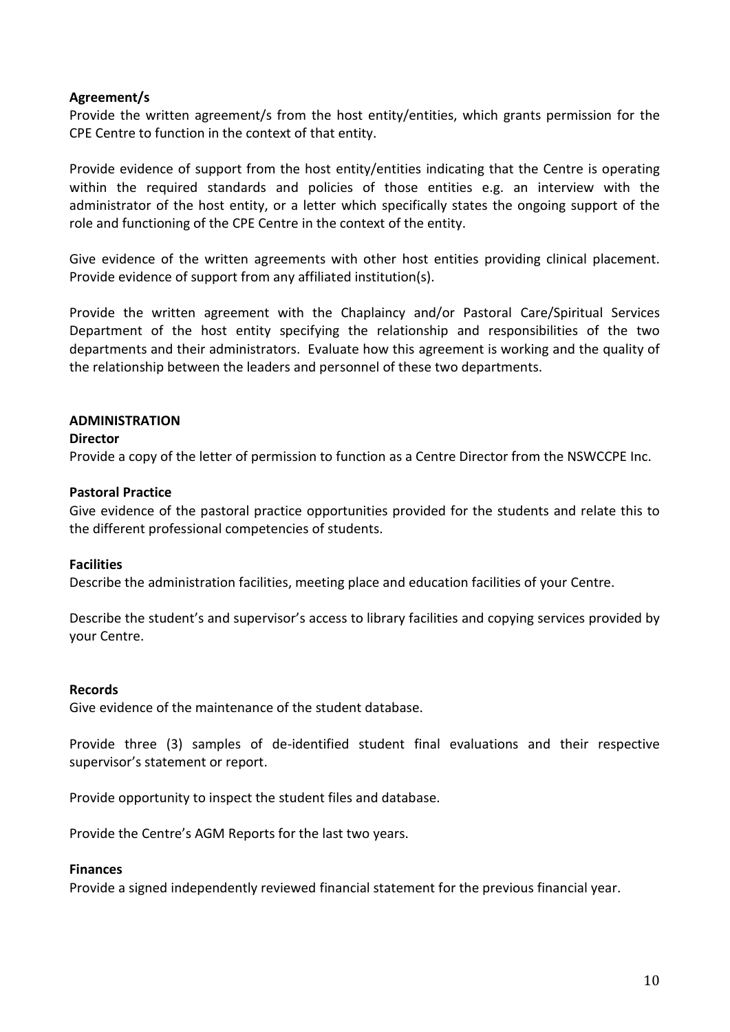### **Agreement/s**

Provide the written agreement/s from the host entity/entities, which grants permission for the CPE Centre to function in the context of that entity.

Provide evidence of support from the host entity/entities indicating that the Centre is operating within the required standards and policies of those entities e.g. an interview with the administrator of the host entity, or a letter which specifically states the ongoing support of the role and functioning of the CPE Centre in the context of the entity.

Give evidence of the written agreements with other host entities providing clinical placement. Provide evidence of support from any affiliated institution(s).

Provide the written agreement with the Chaplaincy and/or Pastoral Care/Spiritual Services Department of the host entity specifying the relationship and responsibilities of the two departments and their administrators. Evaluate how this agreement is working and the quality of the relationship between the leaders and personnel of these two departments.

### **ADMINISTRATION**

### **Director**

Provide a copy of the letter of permission to function as a Centre Director from the NSWCCPE Inc.

### **Pastoral Practice**

Give evidence of the pastoral practice opportunities provided for the students and relate this to the different professional competencies of students.

### **Facilities**

Describe the administration facilities, meeting place and education facilities of your Centre.

Describe the student's and supervisor's access to library facilities and copying services provided by your Centre.

### **Records**

Give evidence of the maintenance of the student database.

Provide three (3) samples of de-identified student final evaluations and their respective supervisor's statement or report.

Provide opportunity to inspect the student files and database.

Provide the Centre's AGM Reports for the last two years.

### **Finances**

Provide a signed independently reviewed financial statement for the previous financial year.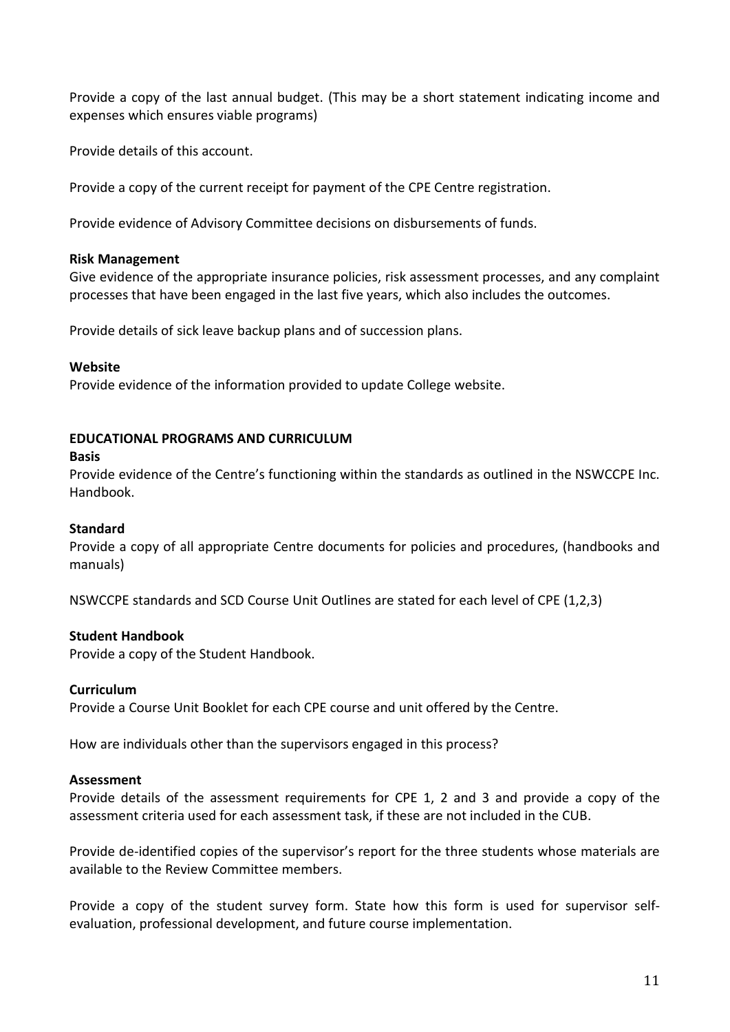Provide a copy of the last annual budget. (This may be a short statement indicating income and expenses which ensures viable programs)

Provide details of this account.

Provide a copy of the current receipt for payment of the CPE Centre registration.

Provide evidence of Advisory Committee decisions on disbursements of funds.

### **Risk Management**

Give evidence of the appropriate insurance policies, risk assessment processes, and any complaint processes that have been engaged in the last five years, which also includes the outcomes.

Provide details of sick leave backup plans and of succession plans.

### **Website**

Provide evidence of the information provided to update College website.

### **EDUCATIONAL PROGRAMS AND CURRICULUM**

#### **Basis**

Provide evidence of the Centre's functioning within the standards as outlined in the NSWCCPE Inc. Handbook.

### **Standard**

Provide a copy of all appropriate Centre documents for policies and procedures, (handbooks and manuals)

NSWCCPE standards and SCD Course Unit Outlines are stated for each level of CPE (1,2,3)

### **Student Handbook**

Provide a copy of the Student Handbook.

### **Curriculum**

Provide a Course Unit Booklet for each CPE course and unit offered by the Centre.

How are individuals other than the supervisors engaged in this process?

### **Assessment**

Provide details of the assessment requirements for CPE 1, 2 and 3 and provide a copy of the assessment criteria used for each assessment task, if these are not included in the CUB.

Provide de-identified copies of the supervisor's report for the three students whose materials are available to the Review Committee members.

Provide a copy of the student survey form. State how this form is used for supervisor selfevaluation, professional development, and future course implementation.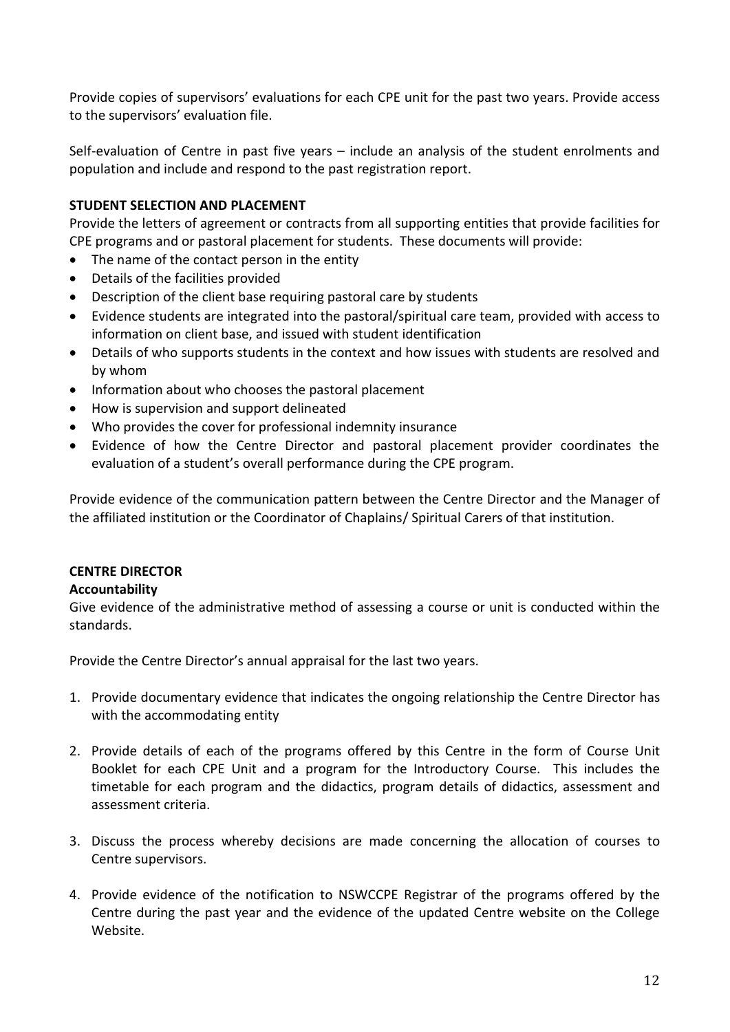Provide copies of supervisors' evaluations for each CPE unit for the past two years. Provide access to the supervisors' evaluation file.

Self-evaluation of Centre in past five years – include an analysis of the student enrolments and population and include and respond to the past registration report.

# **STUDENT SELECTION AND PLACEMENT**

Provide the letters of agreement or contracts from all supporting entities that provide facilities for CPE programs and or pastoral placement for students. These documents will provide:

- The name of the contact person in the entity
- Details of the facilities provided
- Description of the client base requiring pastoral care by students
- Evidence students are integrated into the pastoral/spiritual care team, provided with access to information on client base, and issued with student identification
- Details of who supports students in the context and how issues with students are resolved and by whom
- Information about who chooses the pastoral placement
- How is supervision and support delineated
- Who provides the cover for professional indemnity insurance
- Evidence of how the Centre Director and pastoral placement provider coordinates the evaluation of a student's overall performance during the CPE program.

Provide evidence of the communication pattern between the Centre Director and the Manager of the affiliated institution or the Coordinator of Chaplains/ Spiritual Carers of that institution.

### **CENTRE DIRECTOR**

### **Accountability**

Give evidence of the administrative method of assessing a course or unit is conducted within the standards.

Provide the Centre Director's annual appraisal for the last two years.

- 1. Provide documentary evidence that indicates the ongoing relationship the Centre Director has with the accommodating entity
- 2. Provide details of each of the programs offered by this Centre in the form of Course Unit Booklet for each CPE Unit and a program for the Introductory Course. This includes the timetable for each program and the didactics, program details of didactics, assessment and assessment criteria.
- 3. Discuss the process whereby decisions are made concerning the allocation of courses to Centre supervisors.
- 4. Provide evidence of the notification to NSWCCPE Registrar of the programs offered by the Centre during the past year and the evidence of the updated Centre website on the College Website.